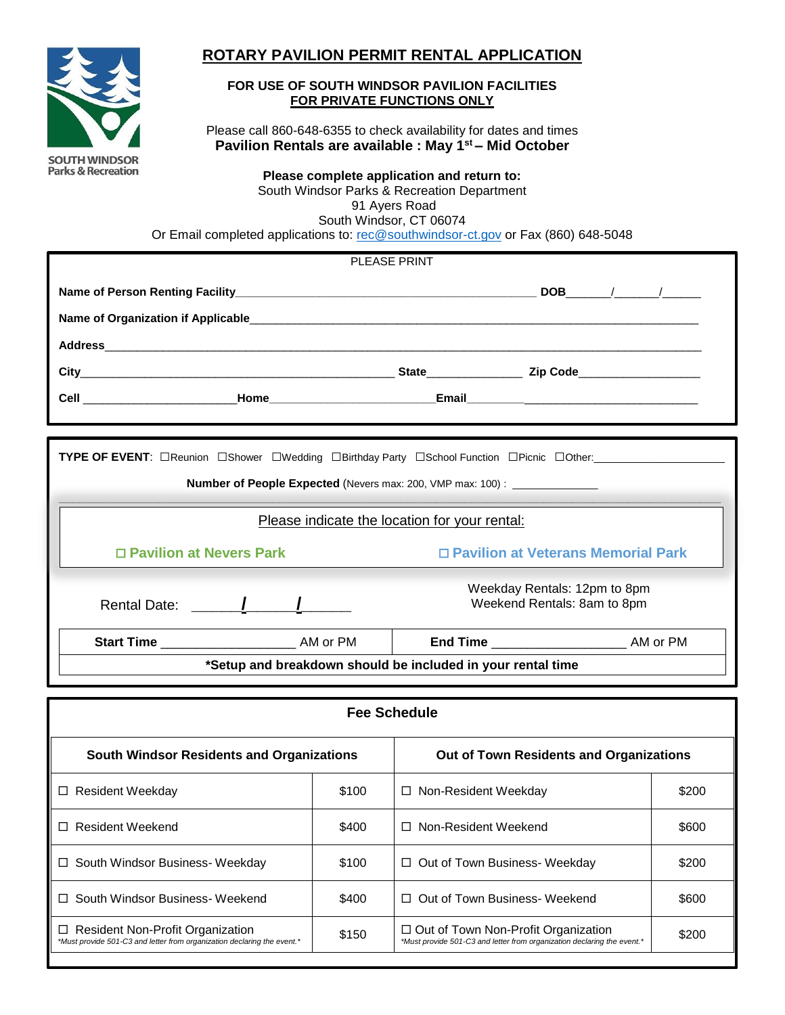

□ Resident Non-Profit Organization

# **ROTARY PAVILION PERMIT RENTAL APPLICATION**

## **FOR USE OF SOUTH WINDSOR PAVILION FACILITIES FOR PRIVATE FUNCTIONS ONLY**

Please call 860-648-6355 to check availability for dates and times **Pavilion Rentals are available : May 1st – Mid October**

**Please complete application and return to:**

South Windsor Parks & Recreation Department 91 Ayers Road South Windsor, CT 06074

Or Email completed applications to: [rec@southwindsor-ct.gov](mailto:rec@southwindsor-ct.gov) or Fax (860) 648-5048

| PLEASE PRINT                                                                                                  |                                                             |                                                                           |                                      |       |  |
|---------------------------------------------------------------------------------------------------------------|-------------------------------------------------------------|---------------------------------------------------------------------------|--------------------------------------|-------|--|
|                                                                                                               |                                                             |                                                                           |                                      |       |  |
|                                                                                                               |                                                             |                                                                           |                                      |       |  |
| Name of Organization if Applicable expression and the control of the control of the control of the control of |                                                             |                                                                           |                                      |       |  |
|                                                                                                               |                                                             |                                                                           |                                      |       |  |
|                                                                                                               |                                                             |                                                                           |                                      |       |  |
|                                                                                                               |                                                             |                                                                           |                                      |       |  |
|                                                                                                               |                                                             |                                                                           |                                      |       |  |
| TYPE OF EVENT: <b>DReunion DShower DWedding DBirthday Party DSchool Function DPicnic DOther:</b>              |                                                             |                                                                           |                                      |       |  |
|                                                                                                               |                                                             | Number of People Expected (Nevers max: 200, VMP max: 100) : _____________ |                                      |       |  |
|                                                                                                               |                                                             |                                                                           |                                      |       |  |
|                                                                                                               |                                                             | Please indicate the location for your rental:                             |                                      |       |  |
| □ Pavilion at Nevers Park                                                                                     |                                                             |                                                                           | □ Pavilion at Veterans Memorial Park |       |  |
|                                                                                                               |                                                             |                                                                           |                                      |       |  |
|                                                                                                               | Weekday Rentals: 12pm to 8pm<br>Weekend Rentals: 8am to 8pm |                                                                           |                                      |       |  |
|                                                                                                               |                                                             |                                                                           |                                      |       |  |
|                                                                                                               |                                                             |                                                                           |                                      |       |  |
| *Setup and breakdown should be included in your rental time                                                   |                                                             |                                                                           |                                      |       |  |
|                                                                                                               |                                                             |                                                                           |                                      |       |  |
| <b>Fee Schedule</b>                                                                                           |                                                             |                                                                           |                                      |       |  |
| <b>South Windsor Residents and Organizations</b>                                                              |                                                             | Out of Town Residents and Organizations                                   |                                      |       |  |
| □ Resident Weekday                                                                                            | \$100                                                       | □ Non-Resident Weekday                                                    |                                      | \$200 |  |
| □ Resident Weekend                                                                                            | \$400                                                       | $\Box$ Non-Resident Weekend                                               |                                      | \$600 |  |
| □ South Windsor Business- Weekday                                                                             | \$100                                                       | □ Out of Town Business- Weekday                                           |                                      | \$200 |  |

□ South Windsor Business- Weekend  $\parallel$  \$400  $\parallel$  Out of Town Business- Weekend \$600

*\*Must provide 501-C3 and letter from organization declaring the event.\** \$200

*\*Must provide 501-C3 and letter from organization declaring the event.\** \$150 Out of Town Non-Profit Organization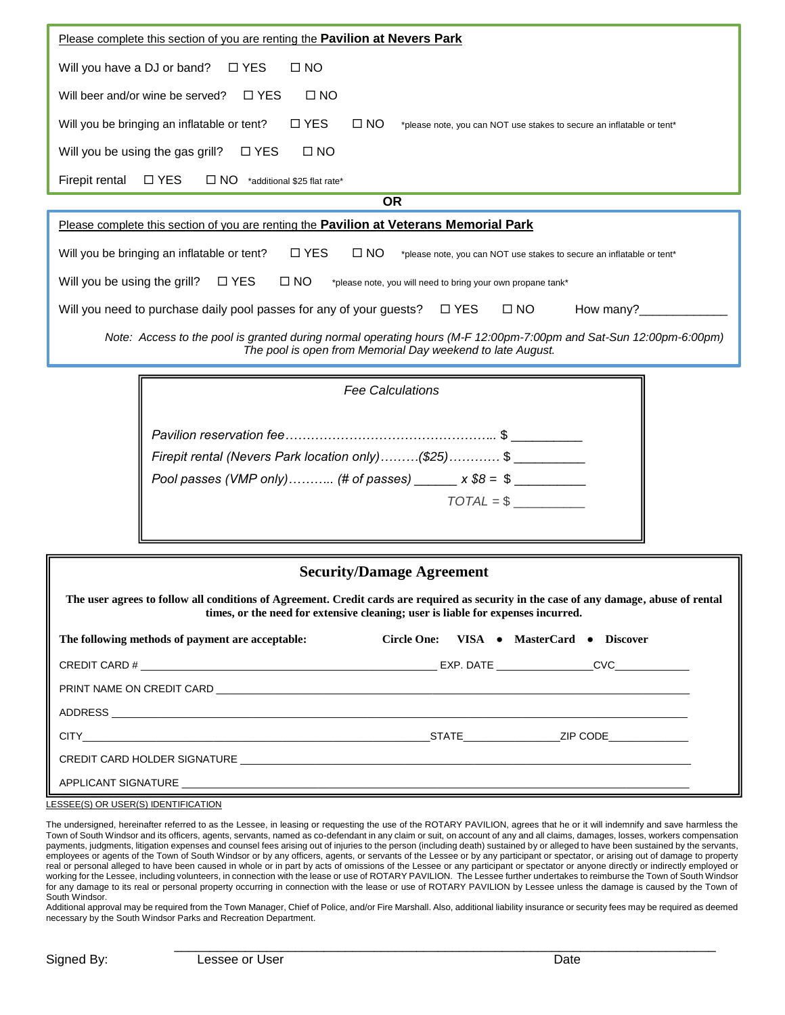| <u>Please complete this section of you are renting the Pavilion at Nevers Park</u>                                                                    |  |  |  |  |  |
|-------------------------------------------------------------------------------------------------------------------------------------------------------|--|--|--|--|--|
| Will you have a DJ or band?<br>□ YES<br>$\square$ NO                                                                                                  |  |  |  |  |  |
| $\Box$ NO<br>$\Box$ YES<br>Will beer and/or wine be served?                                                                                           |  |  |  |  |  |
| $\square$ YES<br>$\square$ NO<br>Will you be bringing an inflatable or tent?<br>*please note, you can NOT use stakes to secure an inflatable or tent* |  |  |  |  |  |
| $\square$ NO<br>Will you be using the gas grill?<br>□ YES                                                                                             |  |  |  |  |  |
| $\square$ YES<br>Firepit rental<br>$\square$ NO<br>*additional \$25 flat rate*                                                                        |  |  |  |  |  |
| <b>OR</b>                                                                                                                                             |  |  |  |  |  |
| Please complete this section of you are renting the <b>Pavilion at Veterans Memorial Park</b>                                                         |  |  |  |  |  |
| $\Box$ YES<br>$\square$ NO<br>Will you be bringing an inflatable or tent?<br>*please note, you can NOT use stakes to secure an inflatable or tent*    |  |  |  |  |  |
| $\square$ YES<br>Will you be using the grill?<br>$\square$ NO<br>*please note, you will need to bring your own propane tank*                          |  |  |  |  |  |

*Note: Access to the pool is granted during normal operating hours (M-F 12:00pm-7:00pm and Sat-Sun 12:00pm-6:00pm) The pool is open from Memorial Day weekend to late August.*

Will you need to purchase daily pool passes for any of your guests?  $\Box$  YES  $\Box$  NO How many?

| <b>Fee Calculations</b>                                                                                              |             |
|----------------------------------------------------------------------------------------------------------------------|-------------|
| Firepit rental (Nevers Park location only)(\$25) \$<br>Pool passes (VMP only) (# of passes) ______ $x $8 = $$ ______ | $TOTAL = $$ |

| <b>Security/Damage Agreement</b>                                                                                                                                                                                            |                                          |  |  |  |
|-----------------------------------------------------------------------------------------------------------------------------------------------------------------------------------------------------------------------------|------------------------------------------|--|--|--|
| The user agrees to follow all conditions of Agreement. Credit cards are required as security in the case of any damage, abuse of rental<br>times, or the need for extensive cleaning; user is liable for expenses incurred. |                                          |  |  |  |
| The following methods of payment are acceptable:                                                                                                                                                                            | Circle One: VISA • MasterCard • Discover |  |  |  |
|                                                                                                                                                                                                                             |                                          |  |  |  |
|                                                                                                                                                                                                                             |                                          |  |  |  |
|                                                                                                                                                                                                                             |                                          |  |  |  |
| CITY <b>Example 21P CODE</b> 21P CODE 21P CODE 21P CODE 21P CODE 21P CODE 21P CODE 21P CODE 21P CODE 21P CODE 21P CODE                                                                                                      |                                          |  |  |  |
|                                                                                                                                                                                                                             |                                          |  |  |  |
| APPLICANT SIGNATURE AND THE SERVICE OF THE SERVICE OF THE SERVICE OF THE SERVICE OF THE SERVICE OF THE SERVICE                                                                                                              |                                          |  |  |  |

LESSEE(S) OR USER(S) IDENTIFICATION

The undersigned, hereinafter referred to as the Lessee, in leasing or requesting the use of the ROTARY PAVILION, agrees that he or it will indemnify and save harmless the Town of South Windsor and its officers, agents, servants, named as co-defendant in any claim or suit, on account of any and all claims, damages, losses, workers compensation payments, judgments, litigation expenses and counsel fees arising out of injuries to the person (including death) sustained by or alleged to have been sustained by the servants, employees or agents of the Town of South Windsor or by any officers, agents, or servants of the Lessee or by any participant or spectator, or arising out of damage to property real or personal alleged to have been caused in whole or in part by acts of omissions of the Lessee or any participant or spectator or anyone directly or indirectly employed or working for the Lessee, including volunteers, in connection with the lease or use of ROTARY PAVILION. The Lessee further undertakes to reimburse the Town of South Windsor for any damage to its real or personal property occurring in connection with the lease or use of ROTARY PAVILION by Lessee unless the damage is caused by the Town of South Windsor.

Additional approval may be required from the Town Manager, Chief of Police, and/or Fire Marshall. Also, additional liability insurance or security fees may be required as deemed necessary by the South Windsor Parks and Recreation Department.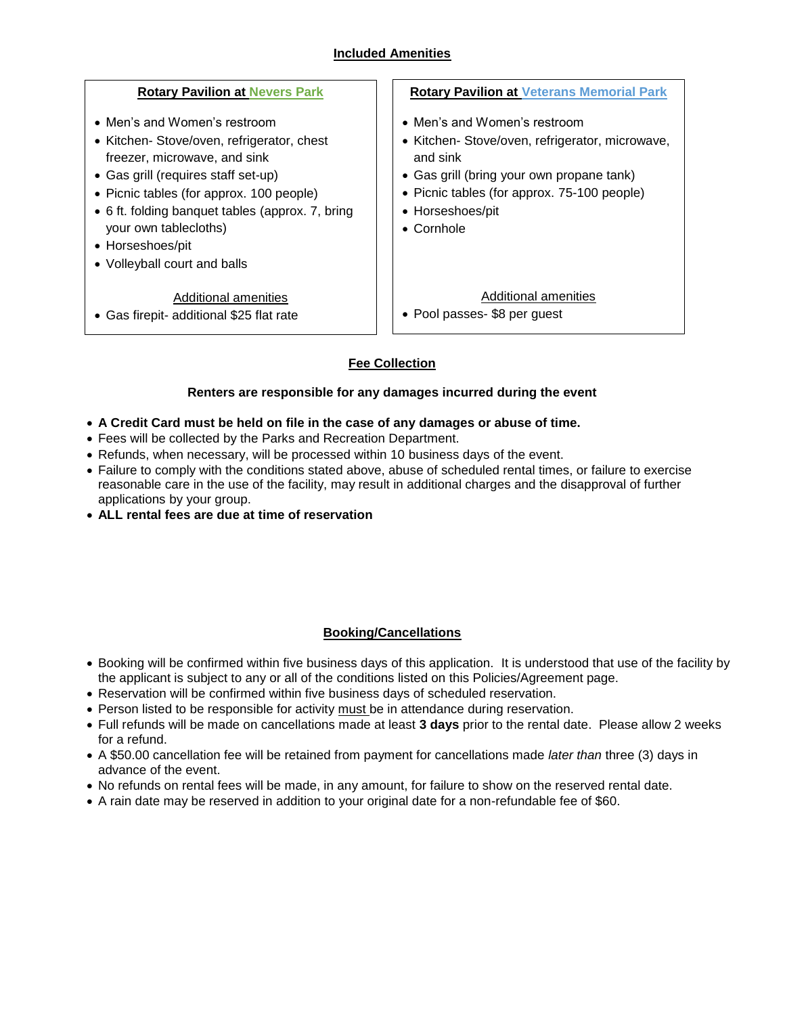# **Included Amenities**

| <b>Rotary Pavilion at Nevers Park</b>                                                                                                                                                                                                                                                                                          | <b>Rotary Pavilion at Veterans Memorial Park</b>                                                                                                                                                                                  |  |
|--------------------------------------------------------------------------------------------------------------------------------------------------------------------------------------------------------------------------------------------------------------------------------------------------------------------------------|-----------------------------------------------------------------------------------------------------------------------------------------------------------------------------------------------------------------------------------|--|
| • Men's and Women's restroom<br>• Kitchen- Stove/oven, refrigerator, chest<br>freezer, microwave, and sink<br>• Gas grill (requires staff set-up)<br>• Picnic tables (for approx. 100 people)<br>• 6 ft. folding banquet tables (approx. 7, bring<br>your own tablecloths)<br>• Horseshoes/pit<br>• Volleyball court and balls | • Men's and Women's restroom<br>• Kitchen- Stove/oven, refrigerator, microwave,<br>and sink<br>• Gas grill (bring your own propane tank)<br>• Picnic tables (for approx. 75-100 people)<br>• Horseshoes/pit<br>$\bullet$ Cornhole |  |
| Additional amenities<br>• Gas firepit- additional \$25 flat rate                                                                                                                                                                                                                                                               | Additional amenities<br>• Pool passes- \$8 per guest                                                                                                                                                                              |  |
| <b>Fee Collection</b>                                                                                                                                                                                                                                                                                                          |                                                                                                                                                                                                                                   |  |

## **Renters are responsible for any damages incurred during the event**

- **A Credit Card must be held on file in the case of any damages or abuse of time.**
- Fees will be collected by the Parks and Recreation Department.
- Refunds, when necessary, will be processed within 10 business days of the event.
- Failure to comply with the conditions stated above, abuse of scheduled rental times, or failure to exercise reasonable care in the use of the facility, may result in additional charges and the disapproval of further applications by your group.
- **ALL rental fees are due at time of reservation**

## **Booking/Cancellations**

- Booking will be confirmed within five business days of this application.It is understood that use of the facility by the applicant is subject to any or all of the conditions listed on this Policies/Agreement page.
- Reservation will be confirmed within five business days of scheduled reservation.
- Person listed to be responsible for activity must be in attendance during reservation.
- Full refunds will be made on cancellations made at least **3 days** prior to the rental date. Please allow 2 weeks for a refund.
- A \$50.00 cancellation fee will be retained from payment for cancellations made *later than* three (3) days in advance of the event.
- No refunds on rental fees will be made, in any amount, for failure to show on the reserved rental date.
- A rain date may be reserved in addition to your original date for a non-refundable fee of \$60.